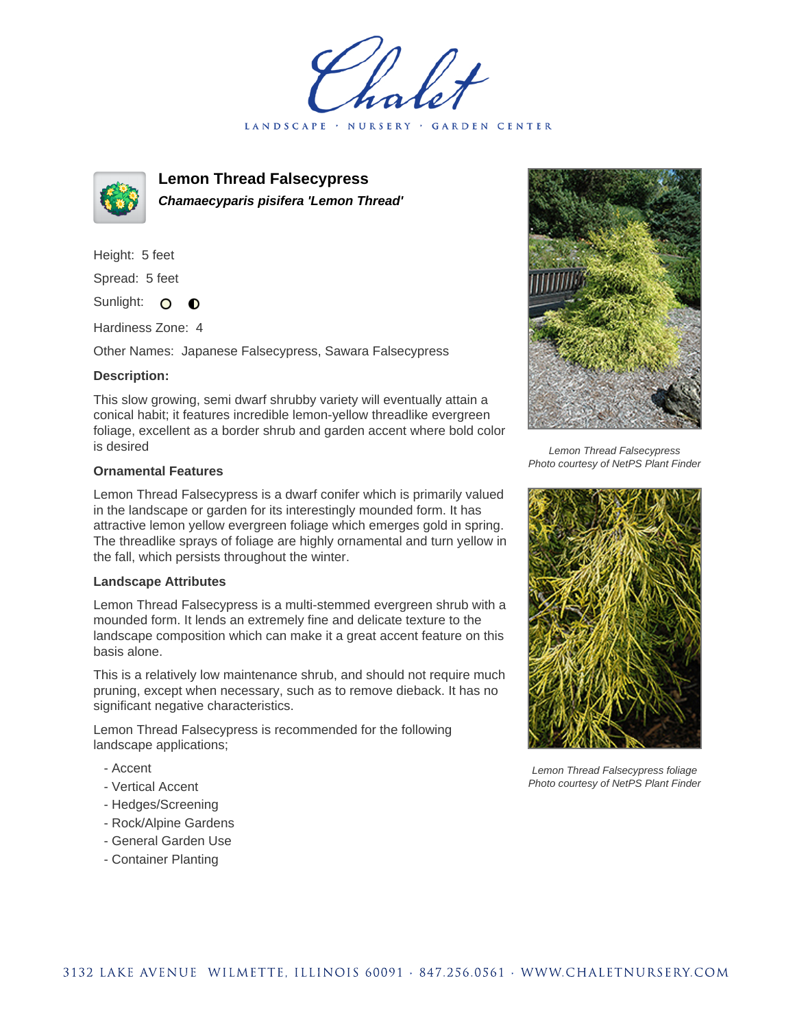LANDSCAPE · NURSERY · GARDEN CENTER



**Lemon Thread Falsecypress Chamaecyparis pisifera 'Lemon Thread'**

Height: 5 feet Spread: 5 feet

Sunlight: O  $\bullet$ 

Hardiness Zone: 4

Other Names: Japanese Falsecypress, Sawara Falsecypress

## **Description:**

This slow growing, semi dwarf shrubby variety will eventually attain a conical habit; it features incredible lemon-yellow threadlike evergreen foliage, excellent as a border shrub and garden accent where bold color is desired

## **Ornamental Features**

Lemon Thread Falsecypress is a dwarf conifer which is primarily valued in the landscape or garden for its interestingly mounded form. It has attractive lemon yellow evergreen foliage which emerges gold in spring. The threadlike sprays of foliage are highly ornamental and turn yellow in the fall, which persists throughout the winter.

## **Landscape Attributes**

Lemon Thread Falsecypress is a multi-stemmed evergreen shrub with a mounded form. It lends an extremely fine and delicate texture to the landscape composition which can make it a great accent feature on this basis alone.

This is a relatively low maintenance shrub, and should not require much pruning, except when necessary, such as to remove dieback. It has no significant negative characteristics.

Lemon Thread Falsecypress is recommended for the following landscape applications;

- Accent
- Vertical Accent
- Hedges/Screening
- Rock/Alpine Gardens
- General Garden Use
- Container Planting



Lemon Thread Falsecypress Photo courtesy of NetPS Plant Finder



Lemon Thread Falsecypress foliage Photo courtesy of NetPS Plant Finder